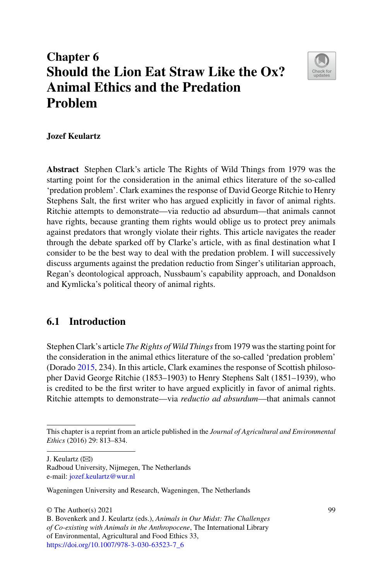# **Chapter 6 Should the Lion Eat Straw Like the Ox? Animal Ethics and the Predation Problem**



### **Jozef Keulartz**

**Abstract** Stephen Clark's article The Rights of Wild Things from 1979 was the starting point for the consideration in the animal ethics literature of the so-called 'predation problem'. Clark examines the response of David George Ritchie to Henry Stephens Salt, the first writer who has argued explicitly in favor of animal rights. Ritchie attempts to demonstrate—via reductio ad absurdum—that animals cannot have rights, because granting them rights would oblige us to protect prey animals against predators that wrongly violate their rights. This article navigates the reader through the debate sparked off by Clarke's article, with as final destination what I consider to be the best way to deal with the predation problem. I will successively discuss arguments against the predation reductio from Singer's utilitarian approach, Regan's deontological approach, Nussbaum's capability approach, and Donaldson and Kymlicka's political theory of animal rights.

# **6.1 Introduction**

Stephen Clark's article *The Rights of Wild Things*from 1979 was the starting point for the consideration in the animal ethics literature of the so-called 'predation problem' (Dorado [2015,](#page-20-0) 234). In this article, Clark examines the response of Scottish philosopher David George Ritchie (1853–1903) to Henry Stephens Salt (1851–1939), who is credited to be the first writer to have argued explicitly in favor of animal rights. Ritchie attempts to demonstrate—via *reductio ad absurdum*—that animals cannot

J. Keulartz  $(\boxtimes)$ 

Radboud University, Nijmegen, The Netherlands e-mail: [jozef.keulartz@wur.nl](mailto:jozef.keulartz@wur.nl)

Wageningen University and Research, Wageningen, The Netherlands

This chapter is a reprint from an article published in the *Journal of Agricultural and Environmental Ethics* (2016) 29: 813–834.

B. Bovenkerk and J. Keulartz (eds.), *Animals in Our Midst: The Challenges of Co-existing with Animals in the Anthropocene*, The International Library of Environmental, Agricultural and Food Ethics 33, [https://doi.org/10.1007/978-3-030-63523-7\\_6](https://doi.org/10.1007/978-3-030-63523-7_6)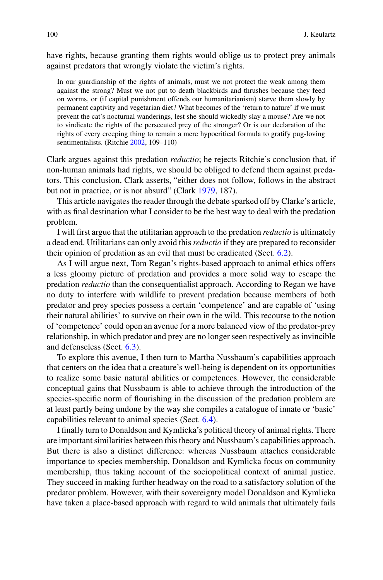have rights, because granting them rights would oblige us to protect prey animals against predators that wrongly violate the victim's rights.

In our guardianship of the rights of animals, must we not protect the weak among them against the strong? Must we not put to death blackbirds and thrushes because they feed on worms, or (if capital punishment offends our humanitarianism) starve them slowly by permanent captivity and vegetarian diet? What becomes of the 'return to nature' if we must prevent the cat's nocturnal wanderings, lest she should wickedly slay a mouse? Are we not to vindicate the rights of the persecuted prey of the stronger? Or is our declaration of the rights of every creeping thing to remain a mere hypocritical formula to gratify pug-loving sentimentalists. (Ritchie [2002,](#page-22-0) 109–110)

Clark argues against this predation *reductio*; he rejects Ritchie's conclusion that, if non-human animals had rights, we should be obliged to defend them against predators. This conclusion, Clark asserts, "either does not follow, follows in the abstract but not in practice, or is not absurd" (Clark [1979,](#page-20-1) 187).

This article navigates the reader through the debate sparked off by Clarke's article, with as final destination what I consider to be the best way to deal with the predation problem.

I will first argue that the utilitarian approach to the predation *reductio* is ultimately a dead end. Utilitarians can only avoid this*reductio* if they are prepared to reconsider their opinion of predation as an evil that must be eradicated (Sect. [6.2\)](#page-2-0).

As I will argue next, Tom Regan's rights-based approach to animal ethics offers a less gloomy picture of predation and provides a more solid way to escape the predation *reductio* than the consequentialist approach. According to Regan we have no duty to interfere with wildlife to prevent predation because members of both predator and prey species possess a certain 'competence' and are capable of 'using their natural abilities' to survive on their own in the wild. This recourse to the notion of 'competence' could open an avenue for a more balanced view of the predator-prey relationship, in which predator and prey are no longer seen respectively as invincible and defenseless (Sect. [6.3\)](#page-6-0).

To explore this avenue, I then turn to Martha Nussbaum's capabilities approach that centers on the idea that a creature's well-being is dependent on its opportunities to realize some basic natural abilities or competences. However, the considerable conceptual gains that Nussbaum is able to achieve through the introduction of the species-specific norm of flourishing in the discussion of the predation problem are at least partly being undone by the way she compiles a catalogue of innate or 'basic' capabilities relevant to animal species (Sect. [6.4\)](#page-9-0).

I finally turn to Donaldson and Kymlicka's political theory of animal rights. There are important similarities between this theory and Nussbaum's capabilities approach. But there is also a distinct difference: whereas Nussbaum attaches considerable importance to species membership, Donaldson and Kymlicka focus on community membership, thus taking account of the sociopolitical context of animal justice. They succeed in making further headway on the road to a satisfactory solution of the predator problem. However, with their sovereignty model Donaldson and Kymlicka have taken a place-based approach with regard to wild animals that ultimately fails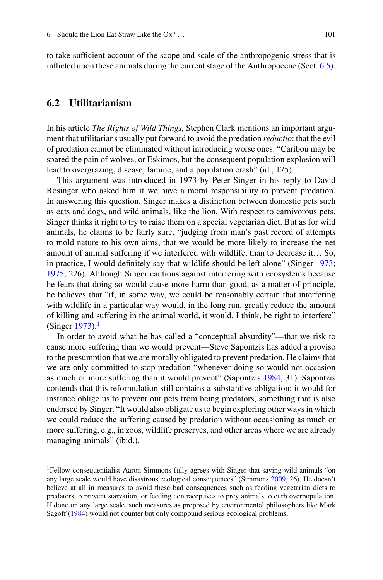to take sufficient account of the scope and scale of the anthropogenic stress that is inflicted upon these animals during the current stage of the Anthropocene (Sect. [6.5\)](#page-13-0).

### <span id="page-2-0"></span>**6.2 Utilitarianism**

In his article *The Rights of Wild Things*, Stephen Clark mentions an important argument that utilitarians usually put forward to avoid the predation *reductio*: that the evil of predation cannot be eliminated without introducing worse ones. "Caribou may be spared the pain of wolves, or Eskimos, but the consequent population explosion will lead to overgrazing, disease, famine, and a population crash" (id., 175).

This argument was introduced in 1973 by Peter Singer in his reply to David Rosinger who asked him if we have a moral responsibility to prevent predation. In answering this question, Singer makes a distinction between domestic pets such as cats and dogs, and wild animals, like the lion. With respect to carnivorous pets, Singer thinks it right to try to raise them on a special vegetarian diet. But as for wild animals, he claims to be fairly sure, "judging from man's past record of attempts to mold nature to his own aims, that we would be more likely to increase the net amount of animal suffering if we interfered with wildlife, than to decrease it… So, in practice, I would definitely say that wildlife should be left alone" (Singer [1973;](#page-22-1) [1975,](#page-22-2) 226). Although Singer cautions against interfering with ecosystems because he fears that doing so would cause more harm than good, as a matter of principle, he believes that "if, in some way, we could be reasonably certain that interfering with wildlife in a particular way would, in the long run, greatly reduce the amount of killing and suffering in the animal world, it would, I think, be right to interfere" (Singer  $1973$  $1973$ ).<sup>1</sup>

In order to avoid what he has called a "conceptual absurdity"—that we risk to cause more suffering than we would prevent—Steve Sapontzis has added a proviso to the presumption that we are morally obligated to prevent predation. He claims that we are only committed to stop predation "whenever doing so would not occasion as much or more suffering than it would prevent" (Sapontzis [1984,](#page-22-3) 31). Sapontzis contends that this reformulation still contains a substantive obligation: it would for instance oblige us to prevent our pets from being predators, something that is also endorsed by Singer. "It would also obligate us to begin exploring other ways in which we could reduce the suffering caused by predation without occasioning as much or more suffering, e.g., in zoos, wildlife preserves, and other areas where we are already managing animals" (ibid.).

<span id="page-2-1"></span><sup>1</sup>Fellow-consequentialist Aaron Simmons fully agrees with Singer that saving wild animals "on any large scale would have disastrous ecological consequences" (Simmons [2009,](#page-22-4) 26). He doesn't believe at all in measures to avoid these bad consequences such as feeding vegetarian diets to predators to prevent starvation, or feeding contraceptives to prey animals to curb overpopulation. If done on any large scale, such measures as proposed by environmental philosophers like Mark Sagoff [\(1984\)](#page-22-5) would not counter but only compound serious ecological problems.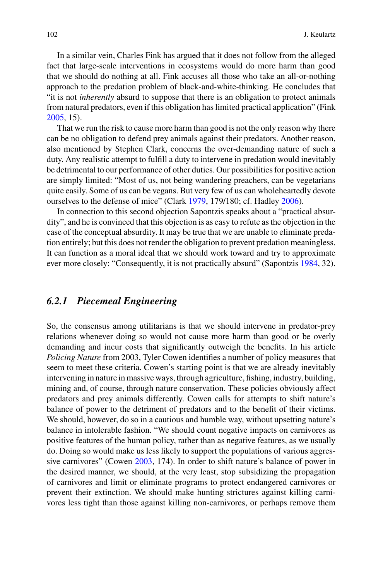In a similar vein, Charles Fink has argued that it does not follow from the alleged fact that large-scale interventions in ecosystems would do more harm than good that we should do nothing at all. Fink accuses all those who take an all-or-nothing approach to the predation problem of black-and-white-thinking. He concludes that "it is not *inherently* absurd to suppose that there is an obligation to protect animals from natural predators, even if this obligation has limited practical application" (Fink [2005,](#page-20-2) 15).

That we run the risk to cause more harm than good is not the only reason why there can be no obligation to defend prey animals against their predators. Another reason, also mentioned by Stephen Clark, concerns the over-demanding nature of such a duty. Any realistic attempt to fulfill a duty to intervene in predation would inevitably be detrimental to our performance of other duties. Our possibilities for positive action are simply limited: "Most of us, not being wandering preachers, can be vegetarians quite easily. Some of us can be vegans. But very few of us can wholeheartedly devote ourselves to the defense of mice" (Clark [1979,](#page-20-1) 179/180; cf. Hadley [2006\)](#page-20-3).

In connection to this second objection Sapontzis speaks about a "practical absurdity", and he is convinced that this objection is as easy to refute as the objection in the case of the conceptual absurdity. It may be true that we are unable to eliminate predation entirely; but this does not render the obligation to prevent predation meaningless. It can function as a moral ideal that we should work toward and try to approximate ever more closely: "Consequently, it is not practically absurd" (Sapontzis [1984,](#page-22-3) 32).

#### *6.2.1 Piecemeal Engineering*

So, the consensus among utilitarians is that we should intervene in predator-prey relations whenever doing so would not cause more harm than good or be overly demanding and incur costs that significantly outweigh the benefits. In his article *Policing Nature* from 2003, Tyler Cowen identifies a number of policy measures that seem to meet these criteria. Cowen's starting point is that we are already inevitably intervening in nature in massive ways, through agriculture, fishing, industry, building, mining and, of course, through nature conservation. These policies obviously affect predators and prey animals differently. Cowen calls for attempts to shift nature's balance of power to the detriment of predators and to the benefit of their victims. We should, however, do so in a cautious and humble way, without upsetting nature's balance in intolerable fashion. "We should count negative impacts on carnivores as positive features of the human policy, rather than as negative features, as we usually do. Doing so would make us less likely to support the populations of various aggressive carnivores" (Cowen [2003,](#page-20-4) 174). In order to shift nature's balance of power in the desired manner, we should, at the very least, stop subsidizing the propagation of carnivores and limit or eliminate programs to protect endangered carnivores or prevent their extinction. We should make hunting strictures against killing carnivores less tight than those against killing non-carnivores, or perhaps remove them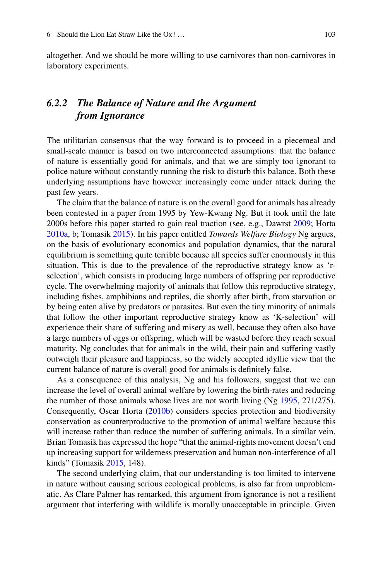altogether. And we should be more willing to use carnivores than non-carnivores in laboratory experiments.

# *6.2.2 The Balance of Nature and the Argument from Ignorance*

The utilitarian consensus that the way forward is to proceed in a piecemeal and small-scale manner is based on two interconnected assumptions: that the balance of nature is essentially good for animals, and that we are simply too ignorant to police nature without constantly running the risk to disturb this balance. Both these underlying assumptions have however increasingly come under attack during the past few years.

The claim that the balance of nature is on the overall good for animals has already been contested in a paper from 1995 by Yew-Kwang Ng. But it took until the late 2000s before this paper started to gain real traction (see, e.g., Dawrst [2009;](#page-20-5) Horta [2010a,](#page-20-6) [b;](#page-20-7) Tomasik [2015\)](#page-22-6). In his paper entitled *Towards Welfare Biology* Ng argues, on the basis of evolutionary economics and population dynamics, that the natural equilibrium is something quite terrible because all species suffer enormously in this situation. This is due to the prevalence of the reproductive strategy know as 'rselection', which consists in producing large numbers of offspring per reproductive cycle. The overwhelming majority of animals that follow this reproductive strategy, including fishes, amphibians and reptiles, die shortly after birth, from starvation or by being eaten alive by predators or parasites. But even the tiny minority of animals that follow the other important reproductive strategy know as 'K-selection' will experience their share of suffering and misery as well, because they often also have a large numbers of eggs or offspring, which will be wasted before they reach sexual maturity. Ng concludes that for animals in the wild, their pain and suffering vastly outweigh their pleasure and happiness, so the widely accepted idyllic view that the current balance of nature is overall good for animals is definitely false.

As a consequence of this analysis, Ng and his followers, suggest that we can increase the level of overall animal welfare by lowering the birth-rates and reducing the number of those animals whose lives are not worth living (Ng [1995,](#page-21-0) 271/275). Consequently, Oscar Horta [\(2010b\)](#page-20-7) considers species protection and biodiversity conservation as counterproductive to the promotion of animal welfare because this will increase rather than reduce the number of suffering animals. In a similar vein, Brian Tomasik has expressed the hope "that the animal-rights movement doesn't end up increasing support for wilderness preservation and human non-interference of all kinds" (Tomasik [2015,](#page-22-6) 148).

The second underlying claim, that our understanding is too limited to intervene in nature without causing serious ecological problems, is also far from unproblematic. As Clare Palmer has remarked, this argument from ignorance is not a resilient argument that interfering with wildlife is morally unacceptable in principle. Given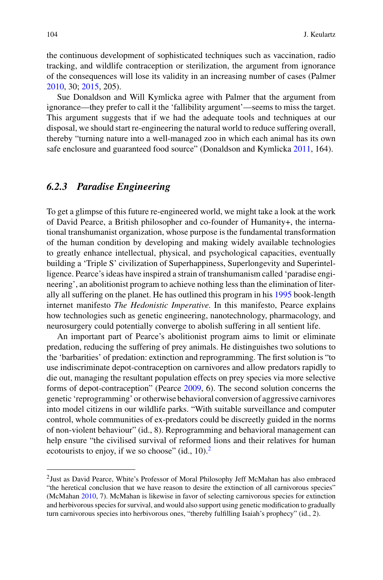the continuous development of sophisticated techniques such as vaccination, radio tracking, and wildlife contraception or sterilization, the argument from ignorance of the consequences will lose its validity in an increasing number of cases (Palmer [2010,](#page-21-1) 30; [2015,](#page-21-2) 205).

Sue Donaldson and Will Kymlicka agree with Palmer that the argument from ignorance—they prefer to call it the 'fallibility argument'—seems to miss the target. This argument suggests that if we had the adequate tools and techniques at our disposal, we should start re-engineering the natural world to reduce suffering overall, thereby "turning nature into a well-managed zoo in which each animal has its own safe enclosure and guaranteed food source" (Donaldson and Kymlicka [2011,](#page-20-8) 164).

# *6.2.3 Paradise Engineering*

To get a glimpse of this future re-engineered world, we might take a look at the work of David Pearce, a British philosopher and co-founder of Humanity+, the international transhumanist organization, whose purpose is the fundamental transformation of the human condition by developing and making widely available technologies to greatly enhance intellectual, physical, and psychological capacities, eventually building a 'Triple S' civilization of Superhappiness, Superlongevity and Superintelligence. Pearce's ideas have inspired a strain of transhumanism called 'paradise engineering', an abolitionist program to achieve nothing less than the elimination of literally all suffering on the planet. He has outlined this program in his [1995](#page-21-3) book-length internet manifesto *The Hedonistic Imperative*. In this manifesto, Pearce explains how technologies such as genetic engineering, nanotechnology, pharmacology, and neurosurgery could potentially converge to abolish suffering in all sentient life.

An important part of Pearce's abolitionist program aims to limit or eliminate predation, reducing the suffering of prey animals. He distinguishes two solutions to the 'barbarities' of predation: extinction and reprogramming. The first solution is "to use indiscriminate depot-contraception on carnivores and allow predators rapidly to die out, managing the resultant population effects on prey species via more selective forms of depot-contraception" (Pearce [2009,](#page-21-4) 6). The second solution concerns the genetic 'reprogramming' or otherwise behavioral conversion of aggressive carnivores into model citizens in our wildlife parks. "With suitable surveillance and computer control, whole communities of ex-predators could be discreetly guided in the norms of non-violent behaviour" (id., 8). Reprogramming and behavioral management can help ensure "the civilised survival of reformed lions and their relatives for human ecotourists to enjoy, if we so choose" (id., 10). $^2$ 

<span id="page-5-0"></span><sup>2</sup>Just as David Pearce, White's Professor of Moral Philosophy Jeff McMahan has also embraced "the heretical conclusion that we have reason to desire the extinction of all carnivorous species" (McMahan [2010,](#page-21-5) 7). McMahan is likewise in favor of selecting carnivorous species for extinction and herbivorous species for survival, and would also support using genetic modification to gradually turn carnivorous species into herbivorous ones, "thereby fulfilling Isaiah's prophecy" (id., 2).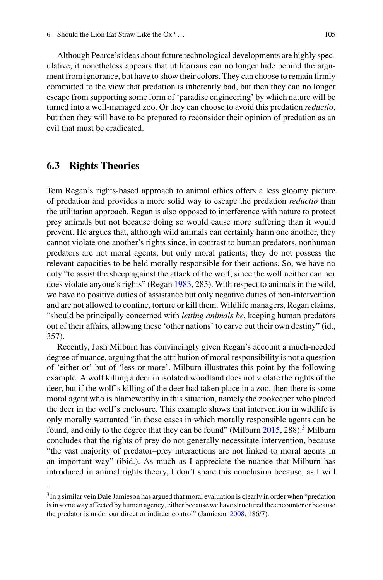Although Pearce's ideas about future technological developments are highly speculative, it nonetheless appears that utilitarians can no longer hide behind the argument from ignorance, but have to show their colors. They can choose to remain firmly committed to the view that predation is inherently bad, but then they can no longer escape from supporting some form of 'paradise engineering' by which nature will be turned into a well-managed zoo. Or they can choose to avoid this predation *reductio*, but then they will have to be prepared to reconsider their opinion of predation as an evil that must be eradicated.

# <span id="page-6-0"></span>**6.3 Rights Theories**

Tom Regan's rights-based approach to animal ethics offers a less gloomy picture of predation and provides a more solid way to escape the predation *reductio* than the utilitarian approach. Regan is also opposed to interference with nature to protect prey animals but not because doing so would cause more suffering than it would prevent. He argues that, although wild animals can certainly harm one another, they cannot violate one another's rights since, in contrast to human predators, nonhuman predators are not moral agents, but only moral patients; they do not possess the relevant capacities to be held morally responsible for their actions. So, we have no duty "to assist the sheep against the attack of the wolf, since the wolf neither can nor does violate anyone's rights" (Regan [1983,](#page-21-6) 285). With respect to animals in the wild, we have no positive duties of assistance but only negative duties of non-intervention and are not allowed to confine, torture or kill them. Wildlife managers, Regan claims, "should be principally concerned with *letting animals be*, keeping human predators out of their affairs, allowing these 'other nations' to carve out their own destiny" (id., 357).

Recently, Josh Milburn has convincingly given Regan's account a much-needed degree of nuance, arguing that the attribution of moral responsibility is not a question of 'either-or' but of 'less-or-more'. Milburn illustrates this point by the following example. A wolf killing a deer in isolated woodland does not violate the rights of the deer, but if the wolf's killing of the deer had taken place in a zoo, then there is some moral agent who is blameworthy in this situation, namely the zookeeper who placed the deer in the wolf's enclosure. This example shows that intervention in wildlife is only morally warranted "in those cases in which morally responsible agents can be found, and only to the degree that they can be found" (Milburn [2015,](#page-21-7) 288).[3](#page-6-1) Milburn concludes that the rights of prey do not generally necessitate intervention, because "the vast majority of predator–prey interactions are not linked to moral agents in an important way" (ibid.). As much as I appreciate the nuance that Milburn has introduced in animal rights theory, I don't share this conclusion because, as I will

<span id="page-6-1"></span><sup>3</sup>In a similar vein Dale Jamieson has argued that moral evaluation is clearly in order when "predation is in some way affected by human agency, either because we have structured the encounter or because the predator is under our direct or indirect control" (Jamieson [2008,](#page-21-8) 186/7).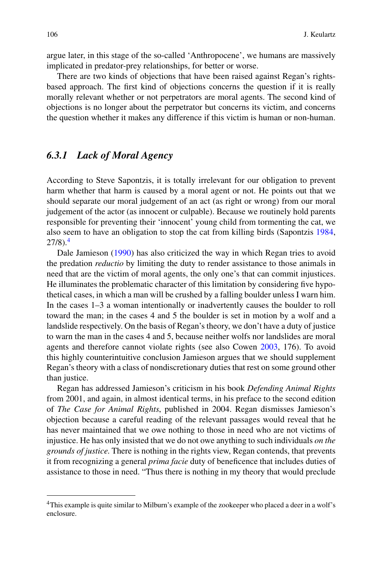argue later, in this stage of the so-called 'Anthropocene', we humans are massively implicated in predator-prey relationships, for better or worse.

There are two kinds of objections that have been raised against Regan's rightsbased approach. The first kind of objections concerns the question if it is really morally relevant whether or not perpetrators are moral agents. The second kind of objections is no longer about the perpetrator but concerns its victim, and concerns the question whether it makes any difference if this victim is human or non-human.

#### *6.3.1 Lack of Moral Agency*

According to Steve Sapontzis, it is totally irrelevant for our obligation to prevent harm whether that harm is caused by a moral agent or not. He points out that we should separate our moral judgement of an act (as right or wrong) from our moral judgement of the actor (as innocent or culpable). Because we routinely hold parents responsible for preventing their 'innocent' young child from tormenting the cat, we also seem to have an obligation to stop the cat from killing birds (Sapontzis [1984,](#page-22-3)  $27/8$ .<sup>4</sup>

Dale Jamieson [\(1990\)](#page-21-9) has also criticized the way in which Regan tries to avoid the predation *reductio* by limiting the duty to render assistance to those animals in need that are the victim of moral agents, the only one's that can commit injustices. He illuminates the problematic character of this limitation by considering five hypothetical cases, in which a man will be crushed by a falling boulder unless I warn him. In the cases 1–3 a woman intentionally or inadvertently causes the boulder to roll toward the man; in the cases 4 and 5 the boulder is set in motion by a wolf and a landslide respectively. On the basis of Regan's theory, we don't have a duty of justice to warn the man in the cases 4 and 5, because neither wolfs nor landslides are moral agents and therefore cannot violate rights (see also Cowen [2003,](#page-20-4) 176). To avoid this highly counterintuitive conclusion Jamieson argues that we should supplement Regan's theory with a class of nondiscretionary duties that rest on some ground other than justice.

Regan has addressed Jamieson's criticism in his book *Defending Animal Rights* from 2001, and again, in almost identical terms, in his preface to the second edition of *The Case for Animal Rights*, published in 2004. Regan dismisses Jamieson's objection because a careful reading of the relevant passages would reveal that he has never maintained that we owe nothing to those in need who are not victims of injustice. He has only insisted that we do not owe anything to such individuals *on the grounds of justice*. There is nothing in the rights view, Regan contends, that prevents it from recognizing a general *prima facie* duty of beneficence that includes duties of assistance to those in need. "Thus there is nothing in my theory that would preclude

<span id="page-7-0"></span><sup>&</sup>lt;sup>4</sup>This example is quite similar to Milburn's example of the zookeeper who placed a deer in a wolf's enclosure.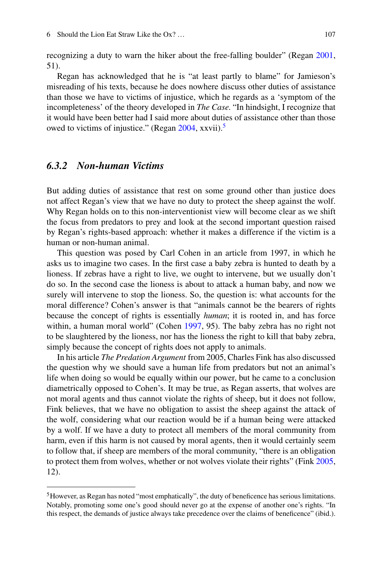recognizing a duty to warn the hiker about the free-falling boulder" (Regan [2001,](#page-22-7) 51).

Regan has acknowledged that he is "at least partly to blame" for Jamieson's misreading of his texts, because he does nowhere discuss other duties of assistance than those we have to victims of injustice, which he regards as a 'symptom of the incompleteness' of the theory developed in *The Case*. "In hindsight, I recognize that it would have been better had I said more about duties of assistance other than those owed to victims of injustice." (Regan [2004,](#page-22-8) xxvii).<sup>[5](#page-8-0)</sup>

# *6.3.2 Non-human Victims*

But adding duties of assistance that rest on some ground other than justice does not affect Regan's view that we have no duty to protect the sheep against the wolf. Why Regan holds on to this non-interventionist view will become clear as we shift the focus from predators to prey and look at the second important question raised by Regan's rights-based approach: whether it makes a difference if the victim is a human or non-human animal.

This question was posed by Carl Cohen in an article from 1997, in which he asks us to imagine two cases. In the first case a baby zebra is hunted to death by a lioness. If zebras have a right to live, we ought to intervene, but we usually don't do so. In the second case the lioness is about to attack a human baby, and now we surely will intervene to stop the lioness. So, the question is: what accounts for the moral difference? Cohen's answer is that "animals cannot be the bearers of rights because the concept of rights is essentially *human*; it is rooted in, and has force within, a human moral world" (Cohen [1997,](#page-20-9) 95). The baby zebra has no right not to be slaughtered by the lioness, nor has the lioness the right to kill that baby zebra, simply because the concept of rights does not apply to animals.

In his article *The Predation Argument* from 2005, Charles Fink has also discussed the question why we should save a human life from predators but not an animal's life when doing so would be equally within our power, but he came to a conclusion diametrically opposed to Cohen's. It may be true, as Regan asserts, that wolves are not moral agents and thus cannot violate the rights of sheep, but it does not follow, Fink believes, that we have no obligation to assist the sheep against the attack of the wolf, considering what our reaction would be if a human being were attacked by a wolf. If we have a duty to protect all members of the moral community from harm, even if this harm is not caused by moral agents, then it would certainly seem to follow that, if sheep are members of the moral community, "there is an obligation to protect them from wolves, whether or not wolves violate their rights" (Fink [2005,](#page-20-2) 12).

<span id="page-8-0"></span><sup>5</sup>However, as Regan has noted "most emphatically", the duty of beneficence has serious limitations. Notably, promoting some one's good should never go at the expense of another one's rights. "In this respect, the demands of justice always take precedence over the claims of beneficence" (ibid.).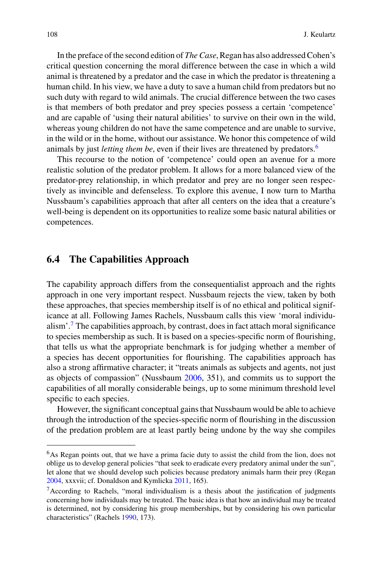In the preface of the second edition of *The Case*, Regan has also addressed Cohen's critical question concerning the moral difference between the case in which a wild animal is threatened by a predator and the case in which the predator is threatening a human child. In his view, we have a duty to save a human child from predators but no such duty with regard to wild animals. The crucial difference between the two cases is that members of both predator and prey species possess a certain 'competence' and are capable of 'using their natural abilities' to survive on their own in the wild, whereas young children do not have the same competence and are unable to survive, in the wild or in the home, without our assistance. We honor this competence of wild animals by just *letting them be*, even if their lives are threatened by predators.<sup>[6](#page-9-1)</sup>

This recourse to the notion of 'competence' could open an avenue for a more realistic solution of the predator problem. It allows for a more balanced view of the predator-prey relationship, in which predator and prey are no longer seen respectively as invincible and defenseless. To explore this avenue, I now turn to Martha Nussbaum's capabilities approach that after all centers on the idea that a creature's well-being is dependent on its opportunities to realize some basic natural abilities or competences.

# <span id="page-9-0"></span>**6.4 The Capabilities Approach**

The capability approach differs from the consequentialist approach and the rights approach in one very important respect. Nussbaum rejects the view, taken by both these approaches, that species membership itself is of no ethical and political significance at all. Following James Rachels, Nussbaum calls this view 'moral individualism'.[7](#page-9-2) The capabilities approach, by contrast, does in fact attach moral significance to species membership as such. It is based on a species-specific norm of flourishing, that tells us what the appropriate benchmark is for judging whether a member of a species has decent opportunities for flourishing. The capabilities approach has also a strong affirmative character; it "treats animals as subjects and agents, not just as objects of compassion" (Nussbaum [2006,](#page-21-10) 351), and commits us to support the capabilities of all morally considerable beings, up to some minimum threshold level specific to each species.

However, the significant conceptual gains that Nussbaum would be able to achieve through the introduction of the species-specific norm of flourishing in the discussion of the predation problem are at least partly being undone by the way she compiles

<span id="page-9-1"></span><sup>&</sup>lt;sup>6</sup>As Regan points out, that we have a prima facie duty to assist the child from the lion, does not oblige us to develop general policies "that seek to eradicate every predatory animal under the sun", let alone that we should develop such policies because predatory animals harm their prey (Regan [2004,](#page-22-8) xxxvii; cf. Donaldson and Kymlicka [2011,](#page-20-8) 165).

<span id="page-9-2"></span> $7$ According to Rachels, "moral individualism is a thesis about the justification of judgments concerning how individuals may be treated. The basic idea is that how an individual may be treated is determined, not by considering his group memberships, but by considering his own particular characteristics" (Rachels [1990,](#page-21-11) 173).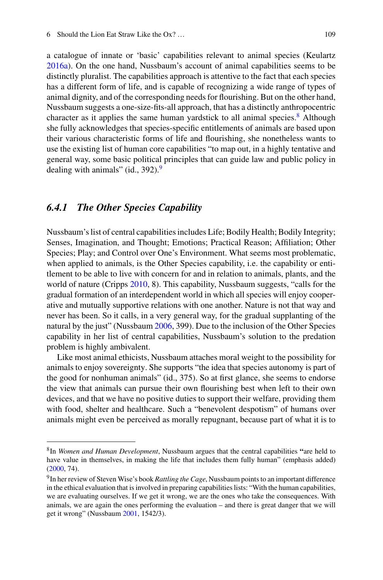a catalogue of innate or 'basic' capabilities relevant to animal species (Keulartz [2016a\)](#page-21-12). On the one hand, Nussbaum's account of animal capabilities seems to be distinctly pluralist. The capabilities approach is attentive to the fact that each species has a different form of life, and is capable of recognizing a wide range of types of animal dignity, and of the corresponding needs for flourishing. But on the other hand, Nussbaum suggests a one-size-fits-all approach, that has a distinctly anthropocentric character as it applies the same human yardstick to all animal species.<sup>[8](#page-10-0)</sup> Although she fully acknowledges that species-specific entitlements of animals are based upon their various characteristic forms of life and flourishing, she nonetheless wants to use the existing list of human core capabilities "to map out, in a highly tentative and general way, some basic political principles that can guide law and public policy in dealing with animals" (id., 3[9](#page-10-1)2).<sup>9</sup>

# *6.4.1 The Other Species Capability*

Nussbaum's list of central capabilities includes Life; Bodily Health; Bodily Integrity; Senses, Imagination, and Thought; Emotions; Practical Reason; Affiliation; Other Species; Play; and Control over One's Environment. What seems most problematic, when applied to animals, is the Other Species capability, i.e. the capability or entitlement to be able to live with concern for and in relation to animals, plants, and the world of nature (Cripps [2010,](#page-20-10) 8). This capability, Nussbaum suggests, "calls for the gradual formation of an interdependent world in which all species will enjoy cooperative and mutually supportive relations with one another. Nature is not that way and never has been. So it calls, in a very general way, for the gradual supplanting of the natural by the just" (Nussbaum [2006,](#page-21-10) 399). Due to the inclusion of the Other Species capability in her list of central capabilities, Nussbaum's solution to the predation problem is highly ambivalent.

Like most animal ethicists, Nussbaum attaches moral weight to the possibility for animals to enjoy sovereignty. She supports "the idea that species autonomy is part of the good for nonhuman animals" (id., 375). So at first glance, she seems to endorse the view that animals can pursue their own flourishing best when left to their own devices, and that we have no positive duties to support their welfare, providing them with food, shelter and healthcare. Such a "benevolent despotism" of humans over animals might even be perceived as morally repugnant, because part of what it is to

<span id="page-10-0"></span><sup>8</sup>In *Women and Human Development*, Nussbaum argues that the central capabilities **"**are held to have value in themselves, in making the life that includes them fully human" (emphasis added) [\(2000,](#page-21-13) 74).

<span id="page-10-1"></span><sup>9</sup>In her review of Steven Wise's book *Rattling the Cage*, Nussbaum points to an important difference in the ethical evaluation that is involved in preparing capabilities lists: "With the human capabilities, we are evaluating ourselves. If we get it wrong, we are the ones who take the consequences. With animals, we are again the ones performing the evaluation – and there is great danger that we will get it wrong" (Nussbaum [2001,](#page-21-14) 1542/3).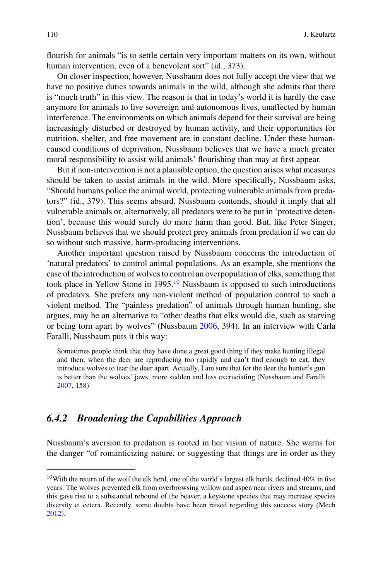flourish for animals "is to settle certain very important matters on its own, without human intervention, even of a benevolent sort" (id., 373).

On closer inspection, however, Nussbaum does not fully accept the view that we have no positive duties towards animals in the wild, although she admits that there is "much truth" in this view. The reason is that in today's world it is hardly the case anymore for animals to live sovereign and autonomous lives, unaffected by human interference. The environments on which animals depend for their survival are being increasingly disturbed or destroyed by human activity, and their opportunities for nutrition, shelter, and free movement are in constant decline. Under these humancaused conditions of deprivation, Nussbaum believes that we have a much greater moral responsibility to assist wild animals' flourishing than may at first appear.

But if non-intervention is not a plausible option, the question arises what measures should be taken to assist animals in the wild. More specifically, Nussbaum asks, "Should humans police the animal world, protecting vulnerable animals from predators?" (id., 379). This seems absurd, Nussbaum contends, should it imply that all vulnerable animals or, alternatively, all predators were to be put in 'protective detention', because this would surely do more harm than good. But, like Peter Singer, Nussbaum believes that we should protect prey animals from predation if we can do so without such massive, harm-producing interventions.

Another important question raised by Nussbaum concerns the introduction of 'natural predators' to control animal populations. As an example, she mentions the case of the introduction of wolves to control an overpopulation of elks, something that took place in Yellow Stone in 1995.<sup>[10](#page-11-0)</sup> Nussbaum is opposed to such introductions of predators. She prefers any non-violent method of population control to such a violent method. The "painless predation" of animals through human hunting, she argues, may be an alternative to "other deaths that elks would die, such as starving or being torn apart by wolves" (Nussbaum [2006,](#page-21-10) 394). In an interview with Carla Faralli, Nussbaum puts it this way:

Sometimes people think that they have done a great good thing if they make hunting illegal and then, when the deer are reproducing too rapidly and can't find enough to eat, they introduce wolves to tear the deer apart. Actually, I am sure that for the deer the hunter's gun is better than the wolves' jaws, more sudden and less excruciating (Nussbaum and Faralli [2007,](#page-21-15) 158)

# *6.4.2 Broadening the Capabilities Approach*

Nussbaum's aversion to predation is rooted in her vision of nature. She warns for the danger "of romanticizing nature, or suggesting that things are in order as they

<span id="page-11-0"></span><sup>10</sup>With the return of the wolf the elk herd, one of the world's largest elk herds, declined 40% in five years. The wolves prevented elk from overbrowsing willow and aspen near rivers and streams, and this gave rise to a substantial rebound of the beaver, a keystone species that may increase species diversity et cetera. Recently, some doubts have been raised regarding this success story (Mech [2012\)](#page-21-16).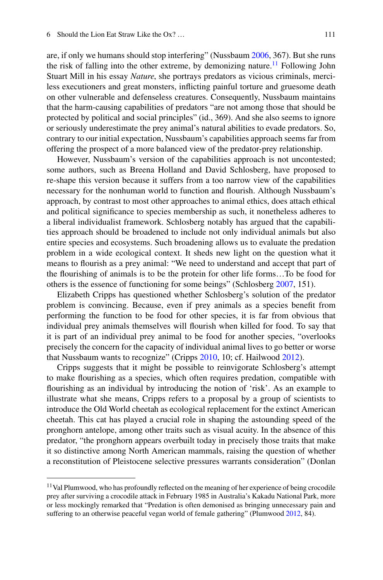are, if only we humans should stop interfering" (Nussbaum [2006,](#page-21-10) 367). But she runs the risk of falling into the other extreme, by demonizing nature.<sup>[11](#page-12-0)</sup> Following John Stuart Mill in his essay *Nature*, she portrays predators as vicious criminals, merciless executioners and great monsters, inflicting painful torture and gruesome death on other vulnerable and defenseless creatures. Consequently, Nussbaum maintains that the harm-causing capabilities of predators "are not among those that should be protected by political and social principles" (id., 369). And she also seems to ignore or seriously underestimate the prey animal's natural abilities to evade predators. So, contrary to our initial expectation, Nussbaum's capabilities approach seems far from offering the prospect of a more balanced view of the predator-prey relationship.

However, Nussbaum's version of the capabilities approach is not uncontested; some authors, such as Breena Holland and David Schlosberg, have proposed to re-shape this version because it suffers from a too narrow view of the capabilities necessary for the nonhuman world to function and flourish. Although Nussbaum's approach, by contrast to most other approaches to animal ethics, does attach ethical and political significance to species membership as such, it nonetheless adheres to a liberal individualist framework. Schlosberg notably has argued that the capabilities approach should be broadened to include not only individual animals but also entire species and ecosystems. Such broadening allows us to evaluate the predation problem in a wide ecological context. It sheds new light on the question what it means to flourish as a prey animal: "We need to understand and accept that part of the flourishing of animals is to be the protein for other life forms…To be food for others is the essence of functioning for some beings" (Schlosberg [2007,](#page-22-9) 151).

Elizabeth Cripps has questioned whether Schlosberg's solution of the predator problem is convincing. Because, even if prey animals as a species benefit from performing the function to be food for other species, it is far from obvious that individual prey animals themselves will flourish when killed for food. To say that it is part of an individual prey animal to be food for another species, "overlooks precisely the concern for the capacity of individual animal lives to go better or worse that Nussbaum wants to recognize" (Cripps [2010,](#page-20-10) 10; cf. Hailwood [2012\)](#page-20-11).

Cripps suggests that it might be possible to reinvigorate Schlosberg's attempt to make flourishing as a species, which often requires predation, compatible with flourishing as an individual by introducing the notion of 'risk'. As an example to illustrate what she means, Cripps refers to a proposal by a group of scientists to introduce the Old World cheetah as ecological replacement for the extinct American cheetah. This cat has played a crucial role in shaping the astounding speed of the pronghorn antelope, among other traits such as visual acuity. In the absence of this predator, "the pronghorn appears overbuilt today in precisely those traits that make it so distinctive among North American mammals, raising the question of whether a reconstitution of Pleistocene selective pressures warrants consideration" (Donlan

<span id="page-12-0"></span><sup>&</sup>lt;sup>11</sup>Val Plumwood, who has profoundly reflected on the meaning of her experience of being crocodile prey after surviving a crocodile attack in February 1985 in Australia's Kakadu National Park, more or less mockingly remarked that "Predation is often demonised as bringing unnecessary pain and suffering to an otherwise peaceful vegan world of female gathering" (Plumwood [2012,](#page-21-17) 84).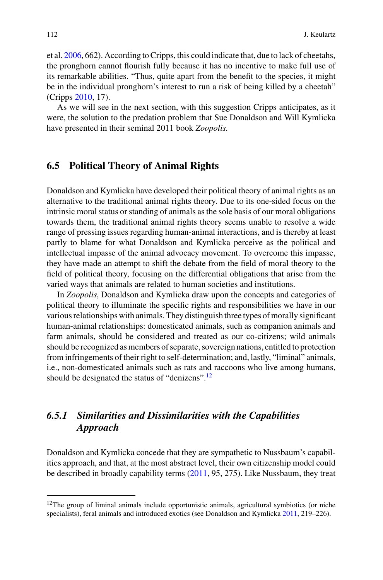et al. [2006,](#page-20-12) 662). According to Cripps, this could indicate that, due to lack of cheetahs, the pronghorn cannot flourish fully because it has no incentive to make full use of its remarkable abilities. "Thus, quite apart from the benefit to the species, it might be in the individual pronghorn's interest to run a risk of being killed by a cheetah" (Cripps [2010,](#page-20-10) 17).

As we will see in the next section, with this suggestion Cripps anticipates, as it were, the solution to the predation problem that Sue Donaldson and Will Kymlicka have presented in their seminal 2011 book *Zoopolis*.

# <span id="page-13-0"></span>**6.5 Political Theory of Animal Rights**

Donaldson and Kymlicka have developed their political theory of animal rights as an alternative to the traditional animal rights theory. Due to its one-sided focus on the intrinsic moral status or standing of animals as the sole basis of our moral obligations towards them, the traditional animal rights theory seems unable to resolve a wide range of pressing issues regarding human-animal interactions, and is thereby at least partly to blame for what Donaldson and Kymlicka perceive as the political and intellectual impasse of the animal advocacy movement. To overcome this impasse, they have made an attempt to shift the debate from the field of moral theory to the field of political theory, focusing on the differential obligations that arise from the varied ways that animals are related to human societies and institutions.

In *Zoopolis*, Donaldson and Kymlicka draw upon the concepts and categories of political theory to illuminate the specific rights and responsibilities we have in our various relationships with animals. They distinguish three types of morally significant human-animal relationships: domesticated animals, such as companion animals and farm animals, should be considered and treated as our co-citizens; wild animals should be recognized as members of separate, sovereign nations, entitled to protection from infringements of their right to self-determination; and, lastly, "liminal" animals, i.e., non-domesticated animals such as rats and raccoons who live among humans, should be designated the status of "denizens".<sup>[12](#page-13-1)</sup>

# *6.5.1 Similarities and Dissimilarities with the Capabilities Approach*

Donaldson and Kymlicka concede that they are sympathetic to Nussbaum's capabilities approach, and that, at the most abstract level, their own citizenship model could be described in broadly capability terms [\(2011,](#page-20-8) 95, 275). Like Nussbaum, they treat

<span id="page-13-1"></span> $12$ The group of liminal animals include opportunistic animals, agricultural symbiotics (or niche specialists), feral animals and introduced exotics (see Donaldson and Kymlicka [2011,](#page-20-8) 219–226).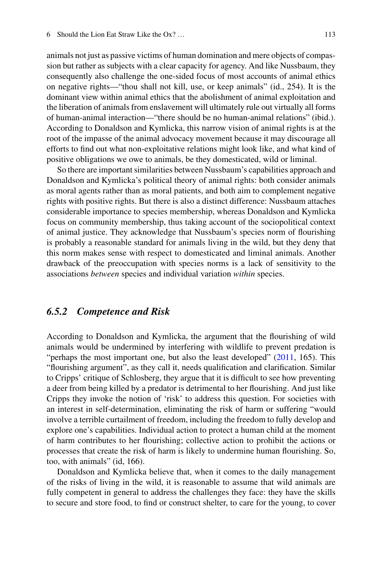animals not just as passive victims of human domination and mere objects of compassion but rather as subjects with a clear capacity for agency. And like Nussbaum, they consequently also challenge the one-sided focus of most accounts of animal ethics on negative rights—"thou shall not kill, use, or keep animals" (id., 254). It is the dominant view within animal ethics that the abolishment of animal exploitation and the liberation of animals from enslavement will ultimately rule out virtually all forms of human-animal interaction—"there should be no human-animal relations" (ibid.). According to Donaldson and Kymlicka, this narrow vision of animal rights is at the root of the impasse of the animal advocacy movement because it may discourage all efforts to find out what non-exploitative relations might look like, and what kind of positive obligations we owe to animals, be they domesticated, wild or liminal.

So there are important similarities between Nussbaum's capabilities approach and Donaldson and Kymlicka's political theory of animal rights: both consider animals as moral agents rather than as moral patients, and both aim to complement negative rights with positive rights. But there is also a distinct difference: Nussbaum attaches considerable importance to species membership, whereas Donaldson and Kymlicka focus on community membership, thus taking account of the sociopolitical context of animal justice. They acknowledge that Nussbaum's species norm of flourishing is probably a reasonable standard for animals living in the wild, but they deny that this norm makes sense with respect to domesticated and liminal animals. Another drawback of the preoccupation with species norms is a lack of sensitivity to the associations *between* species and individual variation *within* species.

# *6.5.2 Competence and Risk*

According to Donaldson and Kymlicka, the argument that the flourishing of wild animals would be undermined by interfering with wildlife to prevent predation is "perhaps the most important one, but also the least developed" [\(2011,](#page-20-8) 165). This "flourishing argument", as they call it, needs qualification and clarification. Similar to Cripps' critique of Schlosberg, they argue that it is difficult to see how preventing a deer from being killed by a predator is detrimental to her flourishing. And just like Cripps they invoke the notion of 'risk' to address this question. For societies with an interest in self-determination, eliminating the risk of harm or suffering "would involve a terrible curtailment of freedom, including the freedom to fully develop and explore one's capabilities. Individual action to protect a human child at the moment of harm contributes to her flourishing; collective action to prohibit the actions or processes that create the risk of harm is likely to undermine human flourishing. So, too, with animals" (id, 166).

Donaldson and Kymlicka believe that, when it comes to the daily management of the risks of living in the wild, it is reasonable to assume that wild animals are fully competent in general to address the challenges they face: they have the skills to secure and store food, to find or construct shelter, to care for the young, to cover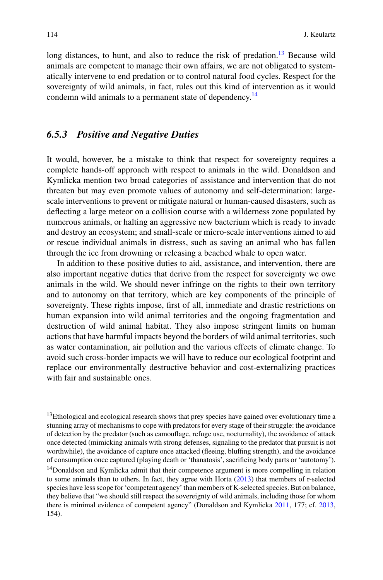long distances, to hunt, and also to reduce the risk of predation.<sup>13</sup> Because wild animals are competent to manage their own affairs, we are not obligated to systematically intervene to end predation or to control natural food cycles. Respect for the sovereignty of wild animals, in fact, rules out this kind of intervention as it would condemn wild animals to a permanent state of dependency.<sup>14</sup>

### *6.5.3 Positive and Negative Duties*

It would, however, be a mistake to think that respect for sovereignty requires a complete hands-off approach with respect to animals in the wild. Donaldson and Kymlicka mention two broad categories of assistance and intervention that do not threaten but may even promote values of autonomy and self-determination: largescale interventions to prevent or mitigate natural or human-caused disasters, such as deflecting a large meteor on a collision course with a wilderness zone populated by numerous animals, or halting an aggressive new bacterium which is ready to invade and destroy an ecosystem; and small-scale or micro-scale interventions aimed to aid or rescue individual animals in distress, such as saving an animal who has fallen through the ice from drowning or releasing a beached whale to open water.

In addition to these positive duties to aid, assistance, and intervention, there are also important negative duties that derive from the respect for sovereignty we owe animals in the wild. We should never infringe on the rights to their own territory and to autonomy on that territory, which are key components of the principle of sovereignty. These rights impose, first of all, immediate and drastic restrictions on human expansion into wild animal territories and the ongoing fragmentation and destruction of wild animal habitat. They also impose stringent limits on human actions that have harmful impacts beyond the borders of wild animal territories, such as water contamination, air pollution and the various effects of climate change. To avoid such cross-border impacts we will have to reduce our ecological footprint and replace our environmentally destructive behavior and cost-externalizing practices with fair and sustainable ones.

<span id="page-15-0"></span> $13$ Ethological and ecological research shows that prey species have gained over evolutionary time a stunning array of mechanisms to cope with predators for every stage of their struggle: the avoidance of detection by the predator (such as camouflage, refuge use, nocturnality), the avoidance of attack once detected (mimicking animals with strong defenses, signaling to the predator that pursuit is not worthwhile), the avoidance of capture once attacked (fleeing, bluffing strength), and the avoidance of consumption once captured (playing death or 'thanatosis', sacrificing body parts or 'autotomy').

<span id="page-15-1"></span><sup>&</sup>lt;sup>14</sup>Donaldson and Kymlicka admit that their competence argument is more compelling in relation to some animals than to others. In fact, they agree with Horta [\(2013\)](#page-21-18) that members of r-selected species have less scope for 'competent agency' than members of K-selected species. But on balance, they believe that "we should still respect the sovereignty of wild animals, including those for whom there is minimal evidence of competent agency" (Donaldson and Kymlicka [2011,](#page-20-8) 177; cf. [2013,](#page-20-13) 154).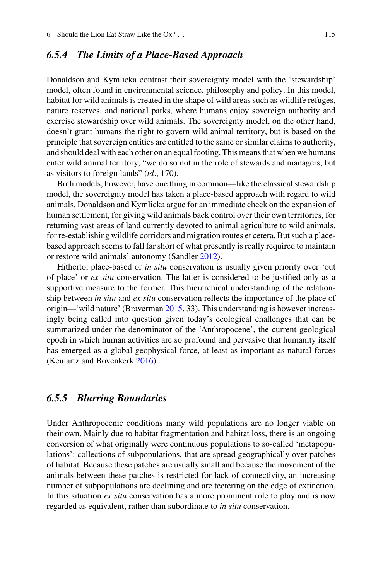# *6.5.4 The Limits of a Place-Based Approach*

Donaldson and Kymlicka contrast their sovereignty model with the 'stewardship' model, often found in environmental science, philosophy and policy. In this model, habitat for wild animals is created in the shape of wild areas such as wildlife refuges, nature reserves, and national parks, where humans enjoy sovereign authority and exercise stewardship over wild animals. The sovereignty model, on the other hand, doesn't grant humans the right to govern wild animal territory, but is based on the principle that sovereign entities are entitled to the same or similar claims to authority, and should deal with each other on an equal footing. This means that when we humans enter wild animal territory, "we do so not in the role of stewards and managers, but as visitors to foreign lands" (*id*., 170).

Both models, however, have one thing in common—like the classical stewardship model, the sovereignty model has taken a place-based approach with regard to wild animals. Donaldson and Kymlicka argue for an immediate check on the expansion of human settlement, for giving wild animals back control over their own territories, for returning vast areas of land currently devoted to animal agriculture to wild animals, for re-establishing wildlife corridors and migration routes et cetera. But such a placebased approach seems to fall far short of what presently is really required to maintain or restore wild animals' autonomy (Sandler [2012\)](#page-22-10).

Hitherto, place-based or *in situ* conservation is usually given priority over 'out of place' or *ex situ* conservation. The latter is considered to be justified only as a supportive measure to the former. This hierarchical understanding of the relationship between *in situ* and *ex situ* conservation reflects the importance of the place of origin—'wild nature' (Braverman [2015,](#page-20-14) 33). This understanding is however increasingly being called into question given today's ecological challenges that can be summarized under the denominator of the 'Anthropocene', the current geological epoch in which human activities are so profound and pervasive that humanity itself has emerged as a global geophysical force, at least as important as natural forces (Keulartz and Bovenkerk [2016\)](#page-21-19).

#### *6.5.5 Blurring Boundaries*

Under Anthropocenic conditions many wild populations are no longer viable on their own. Mainly due to habitat fragmentation and habitat loss, there is an ongoing conversion of what originally were continuous populations to so-called 'metapopulations': collections of subpopulations, that are spread geographically over patches of habitat. Because these patches are usually small and because the movement of the animals between these patches is restricted for lack of connectivity, an increasing number of subpopulations are declining and are teetering on the edge of extinction. In this situation *ex situ* conservation has a more prominent role to play and is now regarded as equivalent, rather than subordinate to *in situ* conservation.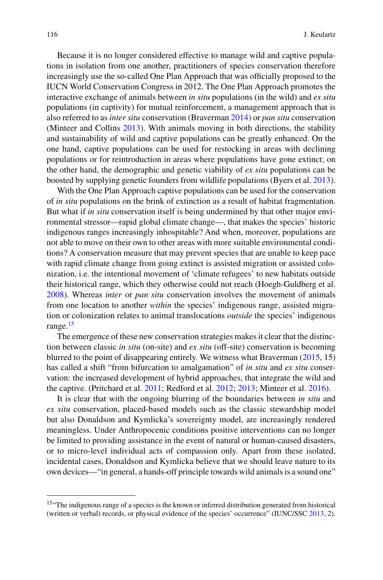Because it is no longer considered effective to manage wild and captive populations in isolation from one another, practitioners of species conservation therefore increasingly use the so-called One Plan Approach that was officially proposed to the IUCN World Conservation Congress in 2012. The One Plan Approach promotes the interactive exchange of animals between *in situ* populations (in the wild) and *ex situ* populations (in captivity) for mutual reinforcement, a management approach that is also referred to as *inter situ* conservation (Braverman [2014\)](#page-20-15) or *pan situ* conservation (Minteer and Collins [2013\)](#page-21-20). With animals moving in both directions, the stability and sustainability of wild and captive populations can be greatly enhanced. On the one hand, captive populations can be used for restocking in areas with declining populations or for reintroduction in areas where populations have gone extinct; on the other hand, the demographic and genetic viability of *ex situ* populations can be boosted by supplying genetic founders from wildlife populations (Byers et al. [2013\)](#page-20-16).

With the One Plan Approach captive populations can be used for the conservation of *in situ* populations on the brink of extinction as a result of habitat fragmentation. But what if *in situ* conservation itself is being undermined by that other major environmental stressor—rapid global climate change—, that makes the species' historic indigenous ranges increasingly inhospitable? And when, moreover, populations are not able to move on their own to other areas with more suitable environmental conditions? A conservation measure that may prevent species that are unable to keep pace with rapid climate change from going extinct is assisted migration or assisted colonization, i.e. the intentional movement of 'climate refugees' to new habitats outside their historical range, which they otherwise could not reach (Hoegh-Guldberg et al. [2008\)](#page-20-17). Whereas *inter* or *pan situ* conservation involves the movement of animals from one location to another *within* the species' indigenous range, assisted migration or colonization relates to animal translocations *outside* the species' indigenous range.<sup>[15](#page-17-0)</sup>

The emergence of these new conservation strategies makes it clear that the distinction between classic *in situ* (on-site) and *ex situ* (off-site) conservation is becoming blurred to the point of disappearing entirely. We witness what Braverman [\(2015,](#page-20-14) 15) has called a shift "from bifurcation to amalgamation" of *in situ* and *ex situ* conservation: the increased development of hybrid approaches, that integrate the wild and the captive. (Pritchard et al. [2011;](#page-21-21) Redford et al. [2012;](#page-21-22) [2013;](#page-21-23) Minteer et al. [2016\)](#page-21-24).

It is clear that with the ongoing blurring of the boundaries between *in situ* and *ex situ* conservation, placed-based models such as the classic stewardship model but also Donaldson and Kymlicka's sovereignty model, are increasingly rendered meaningless. Under Anthropocenic conditions positive interventions can no longer be limited to providing assistance in the event of natural or human-caused disasters, or to micro-level individual acts of compassion only. Apart from these isolated, incidental cases, Donaldson and Kymlicka believe that we should leave nature to its own devices—"in general, a hands-off principle towards wild animals is a sound one"

<span id="page-17-0"></span><sup>&</sup>lt;sup>15"</sup>The indigenous range of a species is the known or inferred distribution generated from historical (written or verbal) records, or physical evidence of the species' occurrence" (IUNC/SSC [2013,](#page-21-25) 2).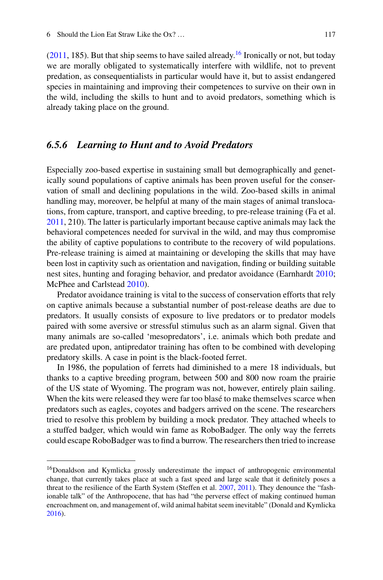$(2011, 185)$  $(2011, 185)$ . But that ship seems to have sailed already.<sup>[16](#page-18-0)</sup> Ironically or not, but today we are morally obligated to systematically interfere with wildlife, not to prevent predation, as consequentialists in particular would have it, but to assist endangered species in maintaining and improving their competences to survive on their own in the wild, including the skills to hunt and to avoid predators, something which is already taking place on the ground.

#### *6.5.6 Learning to Hunt and to Avoid Predators*

Especially zoo-based expertise in sustaining small but demographically and genetically sound populations of captive animals has been proven useful for the conservation of small and declining populations in the wild. Zoo-based skills in animal handling may, moreover, be helpful at many of the main stages of animal translocations, from capture, transport, and captive breeding, to pre-release training (Fa et al. [2011,](#page-20-18) 210). The latter is particularly important because captive animals may lack the behavioral competences needed for survival in the wild, and may thus compromise the ability of captive populations to contribute to the recovery of wild populations. Pre-release training is aimed at maintaining or developing the skills that may have been lost in captivity such as orientation and navigation, finding or building suitable nest sites, hunting and foraging behavior, and predator avoidance (Earnhardt [2010;](#page-20-19) McPhee and Carlstead [2010\)](#page-21-26).

Predator avoidance training is vital to the success of conservation efforts that rely on captive animals because a substantial number of post-release deaths are due to predators. It usually consists of exposure to live predators or to predator models paired with some aversive or stressful stimulus such as an alarm signal. Given that many animals are so-called 'mesopredators', i.e. animals which both predate and are predated upon, antipredator training has often to be combined with developing predatory skills. A case in point is the black-footed ferret.

In 1986, the population of ferrets had diminished to a mere 18 individuals, but thanks to a captive breeding program, between 500 and 800 now roam the prairie of the US state of Wyoming. The program was not, however, entirely plain sailing. When the kits were released they were far too blasé to make themselves scarce when predators such as eagles, coyotes and badgers arrived on the scene. The researchers tried to resolve this problem by building a mock predator. They attached wheels to a stuffed badger, which would win fame as RoboBadger. The only way the ferrets could escape RoboBadger was to find a burrow. The researchers then tried to increase

<span id="page-18-0"></span><sup>&</sup>lt;sup>16</sup>Donaldson and Kymlicka grossly underestimate the impact of anthropogenic environmental change, that currently takes place at such a fast speed and large scale that it definitely poses a threat to the resilience of the Earth System (Steffen et al. [2007,](#page-22-11) [2011\)](#page-22-12). They denounce the "fashionable talk" of the Anthropocene, that has had "the perverse effect of making continued human encroachment on, and management of, wild animal habitat seem inevitable" (Donald and Kymlicka [2016\)](#page-20-20).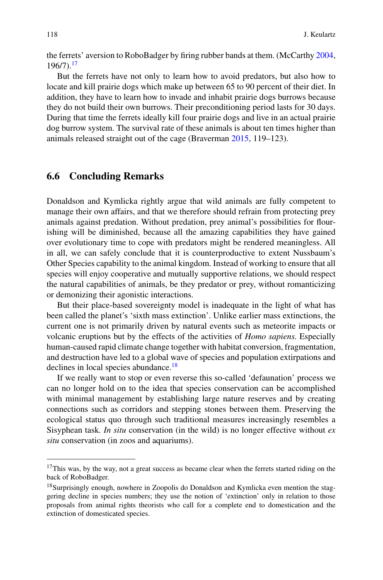the ferrets' aversion to RoboBadger by firing rubber bands at them. (McCarthy [2004,](#page-21-27)  $196/7$ ).<sup>[17](#page-19-0)</sup>

But the ferrets have not only to learn how to avoid predators, but also how to locate and kill prairie dogs which make up between 65 to 90 percent of their diet. In addition, they have to learn how to invade and inhabit prairie dogs burrows because they do not build their own burrows. Their preconditioning period lasts for 30 days. During that time the ferrets ideally kill four prairie dogs and live in an actual prairie dog burrow system. The survival rate of these animals is about ten times higher than animals released straight out of the cage (Braverman [2015,](#page-20-14) 119–123).

### **6.6 Concluding Remarks**

Donaldson and Kymlicka rightly argue that wild animals are fully competent to manage their own affairs, and that we therefore should refrain from protecting prey animals against predation. Without predation, prey animal's possibilities for flourishing will be diminished, because all the amazing capabilities they have gained over evolutionary time to cope with predators might be rendered meaningless. All in all, we can safely conclude that it is counterproductive to extent Nussbaum's Other Species capability to the animal kingdom. Instead of working to ensure that all species will enjoy cooperative and mutually supportive relations, we should respect the natural capabilities of animals, be they predator or prey, without romanticizing or demonizing their agonistic interactions.

But their place-based sovereignty model is inadequate in the light of what has been called the planet's 'sixth mass extinction'. Unlike earlier mass extinctions, the current one is not primarily driven by natural events such as meteorite impacts or volcanic eruptions but by the effects of the activities of *Homo sapiens*. Especially human-caused rapid climate change together with habitat conversion, fragmentation, and destruction have led to a global wave of species and population extirpations and declines in local species abundance.<sup>[18](#page-19-1)</sup>

If we really want to stop or even reverse this so-called 'defaunation' process we can no longer hold on to the idea that species conservation can be accomplished with minimal management by establishing large nature reserves and by creating connections such as corridors and stepping stones between them. Preserving the ecological status quo through such traditional measures increasingly resembles a Sisyphean task*. In situ* conservation (in the wild) is no longer effective without *ex situ* conservation (in zoos and aquariums).

<span id="page-19-1"></span><span id="page-19-0"></span><sup>&</sup>lt;sup>17</sup>This was, by the way, not a great success as became clear when the ferrets started riding on the back of RoboBadger.

<sup>&</sup>lt;sup>18</sup>Surprisingly enough, nowhere in Zoopolis do Donaldson and Kymlicka even mention the staggering decline in species numbers; they use the notion of 'extinction' only in relation to those proposals from animal rights theorists who call for a complete end to domestication and the extinction of domesticated species.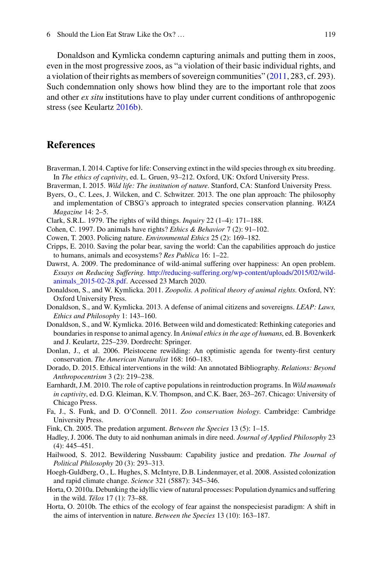Donaldson and Kymlicka condemn capturing animals and putting them in zoos, even in the most progressive zoos, as "a violation of their basic individual rights, and a violation of their rights as members of sovereign communities" [\(2011,](#page-20-8) 283, cf. 293). Such condemnation only shows how blind they are to the important role that zoos and other *ex situ* institutions have to play under current conditions of anthropogenic stress (see Keulartz [2016b\)](#page-21-28).

## **References**

- <span id="page-20-15"></span>Braverman, I. 2014. Captive for life: Conserving extinct in the wild species through ex situ breeding. In *The ethics of captivity*, ed. L. Gruen, 93–212. Oxford, UK: Oxford University Press.
- <span id="page-20-14"></span>Braverman, I. 2015. *Wild life: The institution of nature*. Stanford, CA: Stanford University Press.
- <span id="page-20-16"></span>Byers, O., C. Lees, J. Wilcken, and C. Schwitzer. 2013. The one plan approach: The philosophy and implementation of CBSG's approach to integrated species conservation planning. *WAZA Magazine* 14: 2–5.
- <span id="page-20-1"></span>Clark, S.R.L. 1979. The rights of wild things. *Inquiry* 22 (1–4): 171–188.
- <span id="page-20-9"></span>Cohen, C. 1997. Do animals have rights? *Ethics & Behavior* 7 (2): 91–102.
- <span id="page-20-4"></span>Cowen, T. 2003. Policing nature. *Environmental Ethics* 25 (2): 169–182.
- <span id="page-20-10"></span>Cripps, E. 2010. Saving the polar bear, saving the world: Can the capabilities approach do justice to humans, animals and ecosystems? *Res Publica* 16: 1–22.
- <span id="page-20-5"></span>Dawrst, A. 2009. The predominance of wild-animal suffering over happiness: An open problem. *Essays on Reducing Suffering*. [http://reducing-suffering.org/wp-content/uploads/2015/02/wild](http://reducing-suffering.org/wp-content/uploads/2015/02/wild-animals_2015-02-28.pdf)animals\_2015-02-28.pdf. Accessed 23 March 2020.
- <span id="page-20-8"></span>Donaldson, S., and W. Kymlicka. 2011. *Zoopolis. A political theory of animal rights*. Oxford, NY: Oxford University Press.
- <span id="page-20-13"></span>Donaldson, S., and W. Kymlicka. 2013. A defense of animal citizens and sovereigns. *LEAP: Laws, Ethics and Philosophy* 1: 143–160.
- <span id="page-20-20"></span>Donaldson, S., and W. Kymlicka. 2016. Between wild and domesticated: Rethinking categories and boundaries in response to animal agency. In *Animal ethics in the age of humans*, ed. B. Bovenkerk and J. Keulartz, 225–239. Dordrecht: Springer.
- <span id="page-20-12"></span>Donlan, J., et al. 2006. Pleistocene rewilding: An optimistic agenda for twenty-first century conservation. *The American Naturalist* 168: 160–183.
- <span id="page-20-0"></span>Dorado, D. 2015. Ethical interventions in the wild: An annotated Bibliography. *Relations: Beyond Anthropocentrism* 3 (2): 219–238.
- <span id="page-20-19"></span>Earnhardt, J.M. 2010. The role of captive populations in reintroduction programs. In *Wild mammals in captivity*, ed. D.G. Kleiman, K.V. Thompson, and C.K. Baer, 263–267. Chicago: University of Chicago Press.
- <span id="page-20-18"></span>Fa, J., S. Funk, and D. O'Connell. 2011. *Zoo conservation biology*. Cambridge: Cambridge University Press.
- <span id="page-20-2"></span>Fink, Ch. 2005. The predation argument. *Between the Species* 13 (5): 1–15.
- <span id="page-20-3"></span>Hadley, J. 2006. The duty to aid nonhuman animals in dire need. *Journal of Applied Philosophy* 23 (4): 445–451.
- <span id="page-20-11"></span>Hailwood, S. 2012. Bewildering Nussbaum: Capability justice and predation. *The Journal of Political Philosophy* 20 (3): 293–313.
- <span id="page-20-17"></span>Hoegh-Guldberg, O., L. Hughes, S. McIntyre, D.B. Lindenmayer, et al. 2008. Assisted colonization and rapid climate change. *Science* 321 (5887): 345–346.
- <span id="page-20-6"></span>Horta, O. 2010a. Debunking the idyllic view of natural processes: Population dynamics and suffering in the wild. *Télos* 17 (1): 73–88.
- <span id="page-20-7"></span>Horta, O. 2010b. The ethics of the ecology of fear against the nonspeciesist paradigm: A shift in the aims of intervention in nature. *Between the Species* 13 (10): 163–187.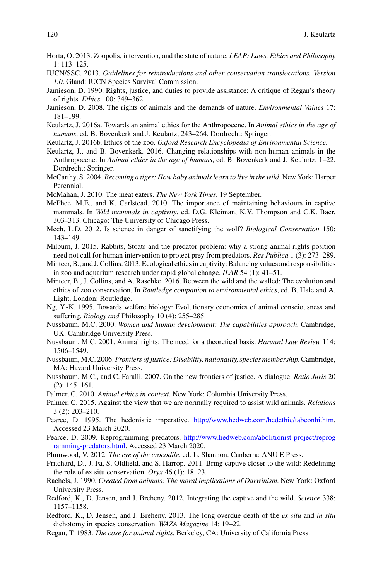- <span id="page-21-18"></span>Horta, O. 2013. Zoopolis, intervention, and the state of nature. *LEAP: Laws, Ethics and Philosophy* 1: 113–125.
- <span id="page-21-25"></span>IUCN/SSC. 2013. *Guidelines for reintroductions and other conservation translocations. Version 1.0*. Gland: IUCN Species Survival Commission.
- <span id="page-21-9"></span>Jamieson, D. 1990. Rights, justice, and duties to provide assistance: A critique of Regan's theory of rights. *Ethics* 100: 349–362.
- <span id="page-21-8"></span>Jamieson, D. 2008. The rights of animals and the demands of nature. *Environmental Values* 17: 181–199.
- <span id="page-21-12"></span>Keulartz, J. 2016a. Towards an animal ethics for the Anthropocene. In *Animal ethics in the age of humans*, ed. B. Bovenkerk and J. Keulartz, 243–264. Dordrecht: Springer.
- <span id="page-21-28"></span>Keulartz, J. 2016b. Ethics of the zoo. *Oxford Research Encyclopedia of Environmental Science*.
- <span id="page-21-19"></span>Keulartz, J., and B. Bovenkerk. 2016. Changing relationships with non-human animals in the Anthropocene. In *Animal ethics in the age of humans*, ed. B. Bovenkerk and J. Keulartz, 1–22. Dordrecht: Springer.
- <span id="page-21-27"></span>McCarthy, S. 2004. *Becoming a tiger: How baby animals learn to live in the wild*. New York: Harper Perennial.
- <span id="page-21-5"></span>McMahan, J. 2010. The meat eaters. *The New York Times*, 19 September.
- <span id="page-21-26"></span>McPhee, M.E., and K. Carlstead. 2010. The importance of maintaining behaviours in captive mammals. In *Wild mammals in captivity*, ed. D.G. Kleiman, K.V. Thompson and C.K. Baer, 303–313. Chicago: The University of Chicago Press.
- <span id="page-21-16"></span>Mech, L.D. 2012. Is science in danger of sanctifying the wolf? *Biological Conservation* 150: 143–149.
- <span id="page-21-7"></span>Milburn, J. 2015. Rabbits, Stoats and the predator problem: why a strong animal rights position need not call for human intervention to protect prey from predators. *Res Publica* 1 (3): 273–289.
- <span id="page-21-20"></span>Minteer, B., and J. Collins. 2013. Ecological ethics in captivity: Balancing values and responsibilities in zoo and aquarium research under rapid global change. *ILAR* 54 (1): 41–51.
- <span id="page-21-24"></span>Minteer, B., J. Collins, and A. Raschke. 2016. Between the wild and the walled: The evolution and ethics of zoo conservation. In *Routledge companion to environmental ethics*, ed. B. Hale and A. Light. London: Routledge.
- <span id="page-21-0"></span>Ng, Y.-K. 1995. Towards welfare biology: Evolutionary economics of animal consciousness and suffering. *Biology and* Philosophy 10 (4): 255–285.
- <span id="page-21-13"></span>Nussbaum, M.C. 2000. *Women and human development: The capabilities approach*. Cambridge, UK: Cambridge University Press.
- <span id="page-21-14"></span>Nussbaum, M.C. 2001. Animal rights: The need for a theoretical basis. *Harvard Law Review* 114: 1506–1549.
- <span id="page-21-10"></span>Nussbaum, M.C. 2006. *Frontiers of justice: Disability, nationality, species membership*. Cambridge, MA: Havard University Press.
- <span id="page-21-15"></span>Nussbaum, M.C., and C. Faralli. 2007. On the new frontiers of justice. A dialogue. *Ratio Juris* 20 (2): 145–161.
- <span id="page-21-1"></span>Palmer, C. 2010. *Animal ethics in context*. New York: Columbia University Press.
- <span id="page-21-2"></span>Palmer, C. 2015. Against the view that we are normally required to assist wild animals. *Relations* 3 (2): 203–210.
- <span id="page-21-3"></span>Pearce, D. 1995. The hedonistic imperative. [http://www.hedweb.com/hedethic/tabconhi.htm.](http://www.hedweb.com/hedethic/tabconhi.htm) Accessed 23 March 2020.
- <span id="page-21-4"></span>Pearce, D. 2009. Reprogramming predators. http://www.hedweb.com/abolitionist-project/reprog [ramming-predators.html. Accessed 23 March 2020.](http://www.hedweb.com/abolitionist-project/reprogramming-predators.html)
- <span id="page-21-17"></span>Plumwood, V. 2012. *The eye of the crocodile*, ed. L. Shannon. Canberra: ANU E Press.
- <span id="page-21-21"></span>Pritchard, D., J. Fa, S. Oldfield, and S. Harrop. 2011. Bring captive closer to the wild: Redefining the role of ex situ conservation. *Oryx* 46 (1): 18–23.
- <span id="page-21-11"></span>Rachels, J. 1990. *Created from animals: The moral implications of Darwinism*. New York: Oxford University Press.
- <span id="page-21-22"></span>Redford, K., D. Jensen, and J. Breheny. 2012. Integrating the captive and the wild. *Science* 338: 1157–1158.
- <span id="page-21-23"></span>Redford, K., D. Jensen, and J. Breheny. 2013. The long overdue death of the *ex situ* and *in situ* dichotomy in species conservation. *WAZA Magazine* 14: 19–22.
- <span id="page-21-6"></span>Regan, T. 1983. *The case for animal rights*. Berkeley, CA: University of California Press.